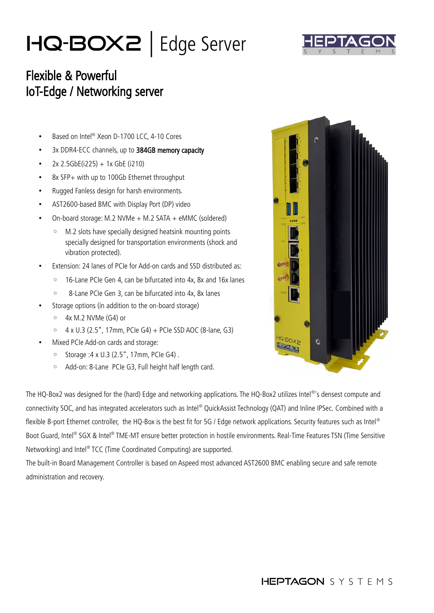## HQ-Box2 | Edge Server



## Flexible & Powerful IoT-Edge / Networking server

- Based on Intel® Xeon D-1700 LCC, 4-10 Cores
- 3x DDR4-ECC channels, up to 384GB memory capacity
- $2x$  2.5GbE(i225) + 1x GbE (i210)
- 8x SFP+ with up to 100Gb Ethernet throughput
- Rugged Fanless design for harsh environments.
- AST2600-based BMC with Display Port (DP) video
- On-board storage: M.2 NVMe + M.2 SATA + eMMC (soldered)
	- M.2 slots have specially designed heatsink mounting points specially designed for transportation environments (shock and vibration protected).
- Extension: 24 lanes of PCIe for Add-on cards and SSD distributed as:
	- 16-Lane PCIe Gen 4, can be bifurcated into 4x, 8x and 16x lanes
	- 8-Lane PCIe Gen 3, can be bifurcated into 4x, 8x lanes
- Storage options (in addition to the on-board storage)
	- 4x M.2 NVMe (G4) or
	- 4 x U.3 (2.5", 17mm, PCIe G4) + PCIe SSD AOC (8-lane, G3)
- Mixed PCIe Add-on cards and storage:
	- Storage :4 x U.3 (2.5", 17mm, PCIe G4) .
	- Add-on: 8-Lane PCIe G3, Full height half length card.



The HO-Box2 was designed for the (hard) Edge and networking applications. The HO-Box2 utilizes Intel<sup>®</sup>'s densest compute and connectivity SOC, and has integrated accelerators such as Intel® OuickAssist Technology (OAT) and Inline IPSec. Combined with a flexible 8-port Ethernet controller, the HQ-Box is the best fit for 5G / Edge network applications. Security features such as Intel® Boot Guard, Intel® SGX & Intel® TME-MT ensure better protection in hostile environments. Real-Time Features TSN (Time Sensitive Networking) and Intel® TCC (Time Coordinated Computing) are supported.

The built-in Board Management Controller is based on Aspeed most advanced AST2600 BMC enabling secure and safe remote administration and recovery.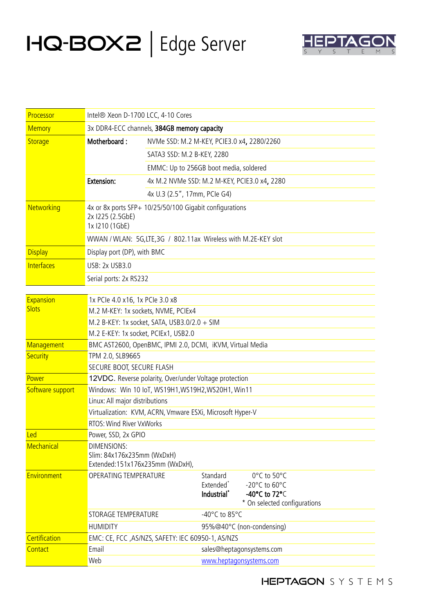## HQ-Box2 | Edge Server



| Processor                 | Intel® Xeon D-1700 LCC, 4-10 Cores                                                  |                                                         |                                                              |                                                                                                     |  |
|---------------------------|-------------------------------------------------------------------------------------|---------------------------------------------------------|--------------------------------------------------------------|-----------------------------------------------------------------------------------------------------|--|
| <b>Memory</b>             | 3x DDR4-ECC channels, 384GB memory capacity                                         |                                                         |                                                              |                                                                                                     |  |
| <b>Storage</b>            | Motherboard:                                                                        | NVMe SSD: M.2 M-KEY, PCIE3.0 x4, 2280/2260              |                                                              |                                                                                                     |  |
|                           |                                                                                     | SATA3 SSD: M.2 B-KEY, 2280                              |                                                              |                                                                                                     |  |
|                           |                                                                                     | EMMC: Up to 256GB boot media, soldered                  |                                                              |                                                                                                     |  |
|                           | <b>Extension:</b>                                                                   | 4x M.2 NVMe SSD: M.2 M-KEY, PCIE3.0 x4, 2280            |                                                              |                                                                                                     |  |
|                           |                                                                                     | 4x U.3 (2.5", 17mm, PCIe G4)                            |                                                              |                                                                                                     |  |
| Networking                | 2x 1225 (2.5GbE)<br>1x 1210 (1GbE)                                                  | 4x or 8x ports SFP+ 10/25/50/100 Gigabit configurations |                                                              |                                                                                                     |  |
|                           | WWAN / WLAN: 5G, LTE, 3G / 802.11ax Wireless with M.2E-KEY slot                     |                                                         |                                                              |                                                                                                     |  |
| <b>Display</b>            | Display port (DP), with BMC                                                         |                                                         |                                                              |                                                                                                     |  |
| <b>Interfaces</b>         | USB: 2x USB3.0                                                                      |                                                         |                                                              |                                                                                                     |  |
|                           | Serial ports: 2x RS232                                                              |                                                         |                                                              |                                                                                                     |  |
|                           |                                                                                     |                                                         |                                                              |                                                                                                     |  |
| Expansion<br><b>Slots</b> | 1x PCle 4.0 x16, 1x PCle 3.0 x8                                                     |                                                         |                                                              |                                                                                                     |  |
|                           | M.2 M-KEY: 1x sockets, NVME, PCIEx4                                                 |                                                         |                                                              |                                                                                                     |  |
|                           | M.2 B-KEY: 1x socket, SATA, USB3.0/2.0 + SIM                                        |                                                         |                                                              |                                                                                                     |  |
|                           | M.2 E-KEY: 1x socket, PCIEx1, USB2.0                                                |                                                         |                                                              |                                                                                                     |  |
| Management                | BMC AST2600, OpenBMC, IPMI 2.0, DCMI, iKVM, Virtual Media                           |                                                         |                                                              |                                                                                                     |  |
| <b>Security</b>           | TPM 2.0, SLB9665<br>SECURE BOOT, SECURE FLASH                                       |                                                         |                                                              |                                                                                                     |  |
| Power                     | 12VDC. Reverse polarity, Over/under Voltage protection                              |                                                         |                                                              |                                                                                                     |  |
| Software support          | Windows: Win 10 IoT, WS19H1, WS19H2, WS20H1, Win11                                  |                                                         |                                                              |                                                                                                     |  |
|                           | Linux: All major distributions                                                      |                                                         |                                                              |                                                                                                     |  |
|                           | Virtualization: KVM, ACRN, Vmware ESXi, Microsoft Hyper-V                           |                                                         |                                                              |                                                                                                     |  |
|                           | RTOS: Wind River VxWorks                                                            |                                                         |                                                              |                                                                                                     |  |
| Led                       | Power, SSD, 2x GPIO                                                                 |                                                         |                                                              |                                                                                                     |  |
| Mechanical                | <b>DIMENSIONS:</b><br>Slim: 84x176x235mm (WxDxH)<br>Extended:151x176x235mm (WxDxH), |                                                         |                                                              |                                                                                                     |  |
| Environment               | OPERATING TEMPERATURE                                                               |                                                         | Standard<br>Extended <sup>*</sup><br>Industrial <sup>*</sup> | 0°C to 50°C<br>-20°C to 60°C<br>-40 $^{\circ}$ C to 72 $^{\circ}$ C<br>* On selected configurations |  |
|                           | STORAGE TEMPERATURE                                                                 |                                                         | -40 $^{\circ}$ C to 85 $^{\circ}$ C                          |                                                                                                     |  |
|                           | <b>HUMIDITY</b>                                                                     | 95%@40°C (non-condensing)                               |                                                              |                                                                                                     |  |
| Certification             | EMC: CE, FCC, AS/NZS, SAFETY: IEC 60950-1, AS/NZS                                   |                                                         |                                                              |                                                                                                     |  |
| Contact                   | Email                                                                               |                                                         |                                                              | sales@heptagonsystems.com                                                                           |  |
|                           | Web                                                                                 |                                                         | www.heptagonsystems.com                                      |                                                                                                     |  |